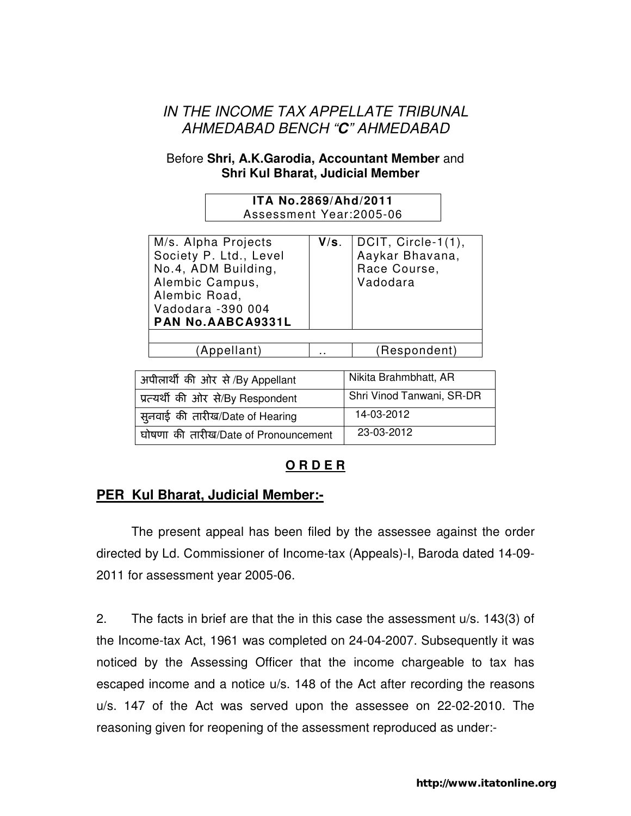# IN THE INCOME TAX APPELLATE TRIBUNAL AHMEDABAD BENCH "**C**" AHMEDABAD

#### Before **Shri, A.K.Garodia, Accountant Member** and **Shri Kul Bharat, Judicial Member**

| ITA No.2869/Ahd/2011<br>Assessment Year:2005-06                                                                                                           |      |                                                                   |  |  |
|-----------------------------------------------------------------------------------------------------------------------------------------------------------|------|-------------------------------------------------------------------|--|--|
| M/s. Alpha Projects<br>Society P. Ltd., Level<br>No.4, ADM Building,<br>Alembic Campus,<br>Alembic Road,<br>Vadodara -390 004<br><b>PAN No.AABCA9331L</b> | V/s. | DCIT, Circle-1(1),<br>Aaykar Bhavana,<br>Race Course,<br>Vadodara |  |  |

(Appellant) .. (Respondent)

| अपीलार्थी की ओर से /By Appellant     | Nikita Brahmbhatt, AR     |
|--------------------------------------|---------------------------|
| प्रत्यर्थी की ओर से/By Respondent    | Shri Vinod Tanwani, SR-DR |
| सूनवाई की तारीख/Date of Hearing      | 14-03-2012                |
| घोषणा की तारीख/Date of Pronouncement | 23-03-2012                |

## **O R D E R**

## **PER Kul Bharat, Judicial Member:-**

The present appeal has been filed by the assessee against the order directed by Ld. Commissioner of Income-tax (Appeals)-I, Baroda dated 14-09- 2011 for assessment year 2005-06.

2. The facts in brief are that the in this case the assessment u/s. 143(3) of the Income-tax Act, 1961 was completed on 24-04-2007. Subsequently it was noticed by the Assessing Officer that the income chargeable to tax has escaped income and a notice u/s. 148 of the Act after recording the reasons u/s. 147 of the Act was served upon the assessee on 22-02-2010. The reasoning given for reopening of the assessment reproduced as under:-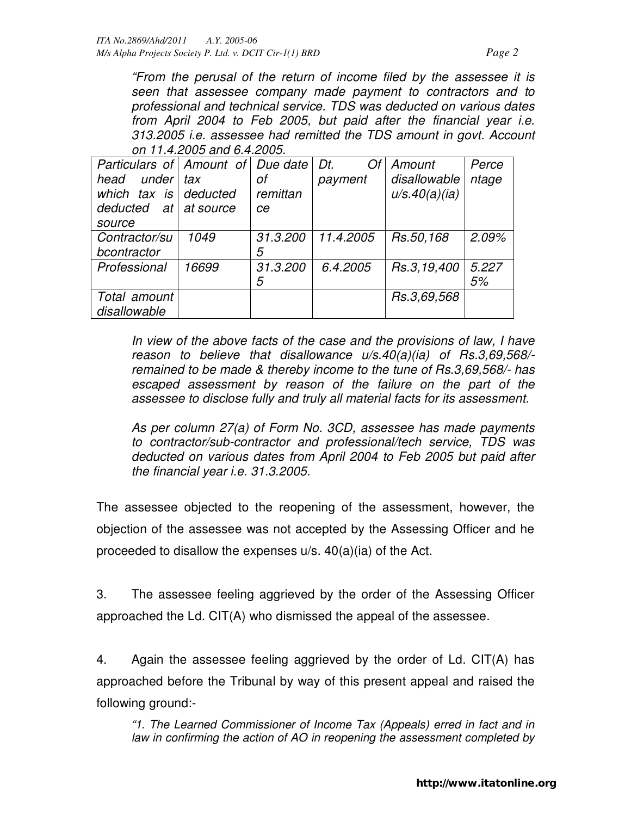"From the perusal of the return of income filed by the assessee it is seen that assessee company made payment to contractors and to professional and technical service. TDS was deducted on various dates from April 2004 to Feb 2005, but paid after the financial year i.e. 313.2005 i.e. assessee had remitted the TDS amount in govt. Account on 11.4.2005 and 6.4.2005.

| Particulars of Amount of Due date |           |          | Dt.<br>Of | Amount        | Perce |
|-----------------------------------|-----------|----------|-----------|---------------|-------|
| under<br>head                     | tax       | οf       | payment   | disallowable  | ntage |
| which tax is deducted             |           | remittan |           | u/s.40(a)(ia) |       |
| deducted at                       | at source | ce       |           |               |       |
| source                            |           |          |           |               |       |
| Contractor/su                     | 1049      | 31.3.200 | 11.4.2005 | Rs.50,168     | 2.09% |
| bcontractor                       |           | 5        |           |               |       |
| Professional                      | 16699     | 31.3.200 | 6.4.2005  | Rs.3,19,400   | 5.227 |
|                                   |           | 5        |           |               | 5%    |
| Total amount                      |           |          |           | Rs.3,69,568   |       |
| disallowable                      |           |          |           |               |       |

In view of the above facts of the case and the provisions of law, I have reason to believe that disallowance u/s.40(a)(ia) of Rs.3,69,568/ remained to be made & thereby income to the tune of Rs.3,69,568/- has escaped assessment by reason of the failure on the part of the assessee to disclose fully and truly all material facts for its assessment.

As per column 27(a) of Form No. 3CD, assessee has made payments to contractor/sub-contractor and professional/tech service, TDS was deducted on various dates from April 2004 to Feb 2005 but paid after the financial year i.e. 31.3.2005.

The assessee objected to the reopening of the assessment, however, the objection of the assessee was not accepted by the Assessing Officer and he proceeded to disallow the expenses u/s. 40(a)(ia) of the Act.

3. The assessee feeling aggrieved by the order of the Assessing Officer approached the Ld. CIT(A) who dismissed the appeal of the assessee.

4. Again the assessee feeling aggrieved by the order of Ld. CIT(A) has approached before the Tribunal by way of this present appeal and raised the following ground:-

"1. The Learned Commissioner of Income Tax (Appeals) erred in fact and in law in confirming the action of AO in reopening the assessment completed by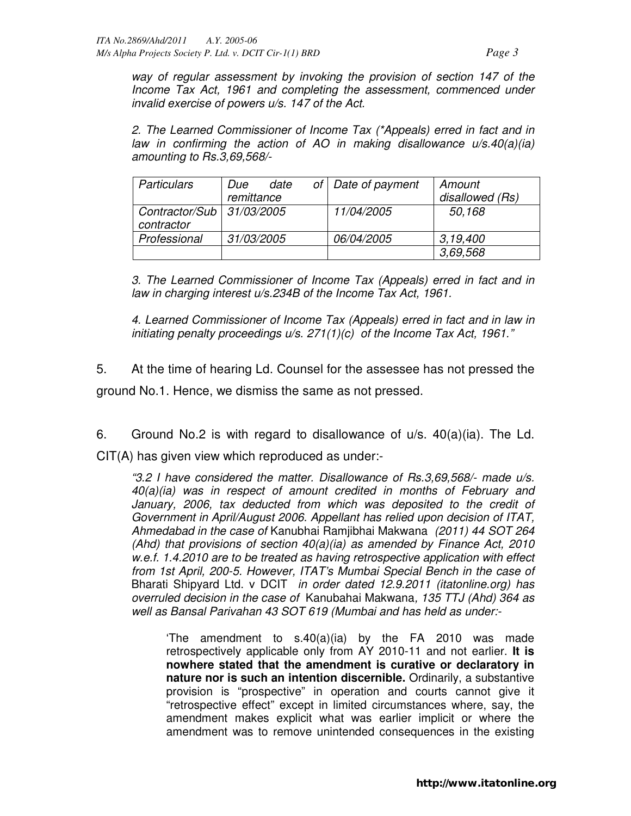way of regular assessment by invoking the provision of section 147 of the Income Tax Act, 1961 and completing the assessment, commenced under invalid exercise of powers u/s. 147 of the Act.

2. The Learned Commissioner of Income Tax (\*Appeals) erred in fact and in law in confirming the action of AO in making disallowance  $u/s.40(a)(ia)$ amounting to Rs.3,69,568/-

| <b>Particulars</b>                        | Due               | date | of   Date of payment | Amount          |
|-------------------------------------------|-------------------|------|----------------------|-----------------|
|                                           | remittance        |      |                      | disallowed (Rs) |
| Contractor/Sub   31/03/2005<br>contractor |                   |      | 11/04/2005           | 50,168          |
| Professional                              | <i>31/03/2005</i> |      | 06/04/2005           | 3.19.400        |
|                                           |                   |      |                      | 3,69,568        |

3. The Learned Commissioner of Income Tax (Appeals) erred in fact and in law in charging interest u/s.234B of the Income Tax Act, 1961.

4. Learned Commissioner of Income Tax (Appeals) erred in fact and in law in initiating penalty proceedings u/s. 271(1)(c) of the Income Tax Act, 1961."

5. At the time of hearing Ld. Counsel for the assessee has not pressed the ground No.1. Hence, we dismiss the same as not pressed.

6. Ground No.2 is with regard to disallowance of  $u/s$ . 40(a)(ia). The Ld. CIT(A) has given view which reproduced as under:-

"3.2 I have considered the matter. Disallowance of Rs.3,69,568/- made u/s. 40(a)(ia) was in respect of amount credited in months of February and January, 2006, tax deducted from which was deposited to the credit of Government in April/August 2006. Appellant has relied upon decision of ITAT, Ahmedabad in the case of Kanubhai Ramjibhai Makwana (2011) 44 SOT 264 (Ahd) that provisions of section  $40(a)(ia)$  as amended by Finance Act, 2010 w.e.f. 1.4.2010 are to be treated as having retrospective application with effect from 1st April, 200-5. However, ITAT's Mumbai Special Bench in the case of Bharati Shipyard Ltd. v DCIT in order dated 12.9.2011 (itatonline.org) has overruled decision in the case of Kanubahai Makwana, 135 TTJ (Ahd) 364 as well as Bansal Parivahan 43 SOT 619 (Mumbai and has held as under:-

The amendment to  $s.40(a)(ia)$  by the FA 2010 was made retrospectively applicable only from AY 2010-11 and not earlier. **It is nowhere stated that the amendment is curative or declaratory in nature nor is such an intention discernible.** Ordinarily, a substantive provision is "prospective" in operation and courts cannot give it "retrospective effect" except in limited circumstances where, say, the amendment makes explicit what was earlier implicit or where the amendment was to remove unintended consequences in the existing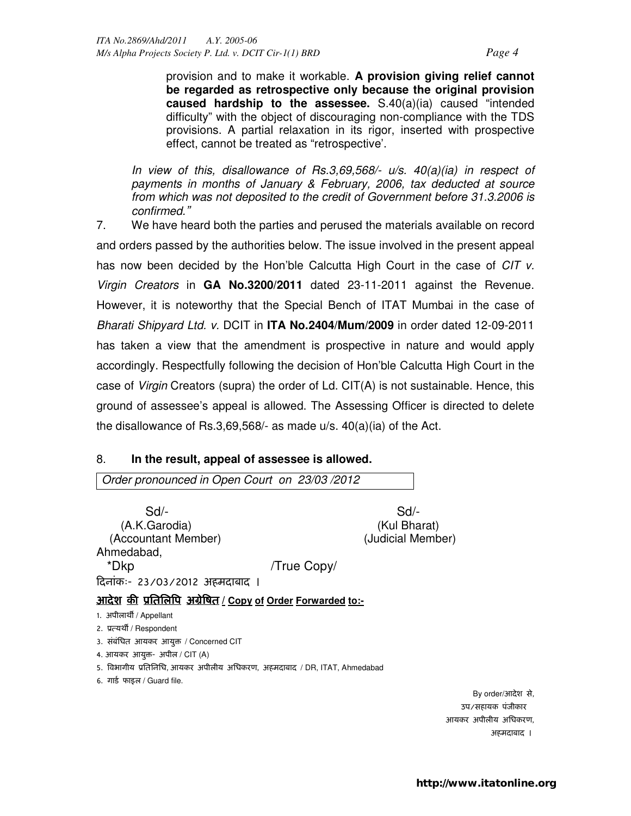provision and to make it workable. **A provision giving relief cannot be regarded as retrospective only because the original provision caused hardship to the assessee.** S.40(a)(ia) caused "intended difficulty" with the object of discouraging non-compliance with the TDS provisions. A partial relaxation in its rigor, inserted with prospective effect, cannot be treated as "retrospective'.

In view of this, disallowance of Rs.3,69,568/-  $u/s$ . 40(a)(ia) in respect of payments in months of January & February, 2006, tax deducted at source from which was not deposited to the credit of Government before 31.3.2006 is confirmed."

7. We have heard both the parties and perused the materials available on record and orders passed by the authorities below. The issue involved in the present appeal has now been decided by the Hon'ble Calcutta High Court in the case of CIT v. Virgin Creators in **GA No.3200/2011** dated 23-11-2011 against the Revenue. However, it is noteworthy that the Special Bench of ITAT Mumbai in the case of Bharati Shipyard Ltd. v. DCIT in **ITA No.2404/Mum/2009** in order dated 12-09-2011 has taken a view that the amendment is prospective in nature and would apply accordingly. Respectfully following the decision of Hon'ble Calcutta High Court in the case of Virgin Creators (supra) the order of Ld. CIT(A) is not sustainable. Hence, this ground of assessee's appeal is allowed. The Assessing Officer is directed to delete the disallowance of Rs.3,69,568/- as made u/s. 40(a)(ia) of the Act.

#### 8. **In the result, appeal of assessee is allowed.**

Order pronounced in Open Court on 23/03 /2012 Sd/- Sd/- (A.K.Garodia) (Kul Bharat) (Accountant Member) (Judicial Member) Ahmedabad, \*Dkp /True Copy/ दनांकः- 23/03/2012 अहमदाबाद । <u>आदेश की प्रतिलिपि अग्रेषित / Copy of Order Forwarded to:-</u> 1. अपीलार्थी / Appellant 2. प्रत्यर्थी / Respondent 3. संबंधित आयकर आयुक्त / Concerned CIT 4. आयकर आयुक्त- अपील / CIT (A) 5. विभागीय प्रतिनिधि, आयकर अपीलीय अधिकरण, अहमदाबाद / DR, ITAT, Ahmedabad 6. गार्ड फाइल / Guard file. By order/आदेश से, उप/सहायक पंजीकार आयकर अपीलीय अिधकरण, अहमदाबाद ।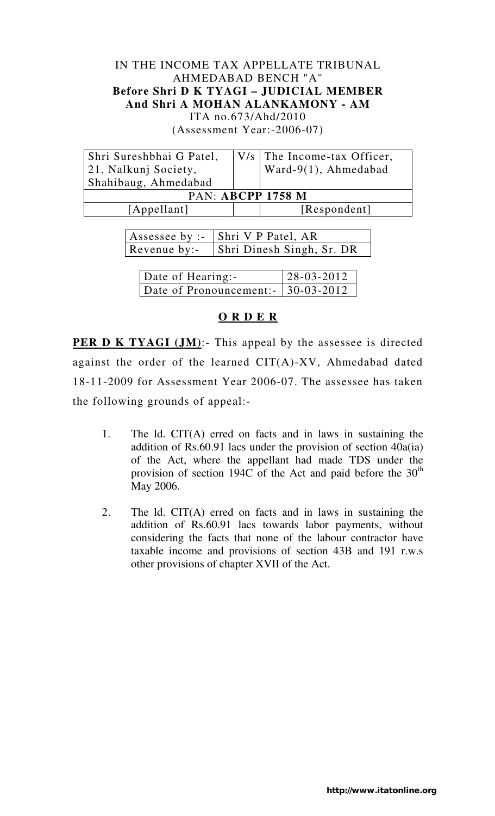### IN THE INCOME TAX APPELLATE TRIBUNAL AHMEDABAD BENCH "A" **Before Shri D K TYAGI – JUDICIAL MEMBER And Shri A MOHAN ALANKAMONY - AM**  ITA no.673/Ahd/2010 (Assessment Year:-2006-07)

| Shri Sureshbhai G Patel,<br>21, Nalkunj Society,<br>Shahibaug, Ahmedabad |  | V/s   The Income-tax Officer,<br>Ward-9(1), Ahmedabad |  |  |
|--------------------------------------------------------------------------|--|-------------------------------------------------------|--|--|
| <b>PAN: ABCPP 1758 M</b>                                                 |  |                                                       |  |  |
| [Appellant]                                                              |  | [Respondent]                                          |  |  |
|                                                                          |  |                                                       |  |  |

| Assessee by :-   Shri V P Patel, AR    |
|----------------------------------------|
| Revenue by:- Shri Dinesh Singh, Sr. DR |

| Date of Hearing:-                   | $28 - 03 - 2012$ |
|-------------------------------------|------------------|
| Date of Pronouncement: - 30-03-2012 |                  |

## **O R D E R**

**PER D K TYAGI (JM):**- This appeal by the assessee is directed against the order of the learned CIT(A)-XV, Ahmedabad dated 18-11-2009 for Assessment Year 2006-07. The assessee has taken the following grounds of appeal:-

- 1. The ld. CIT(A) erred on facts and in laws in sustaining the addition of Rs.60.91 lacs under the provision of section 40a(ia) of the Act, where the appellant had made TDS under the provision of section 194C of the Act and paid before the  $30<sup>th</sup>$ May 2006.
- 2. The ld. CIT(A) erred on facts and in laws in sustaining the addition of Rs.60.91 lacs towards labor payments, without considering the facts that none of the labour contractor have taxable income and provisions of section 43B and 191 r.w.s other provisions of chapter XVII of the Act.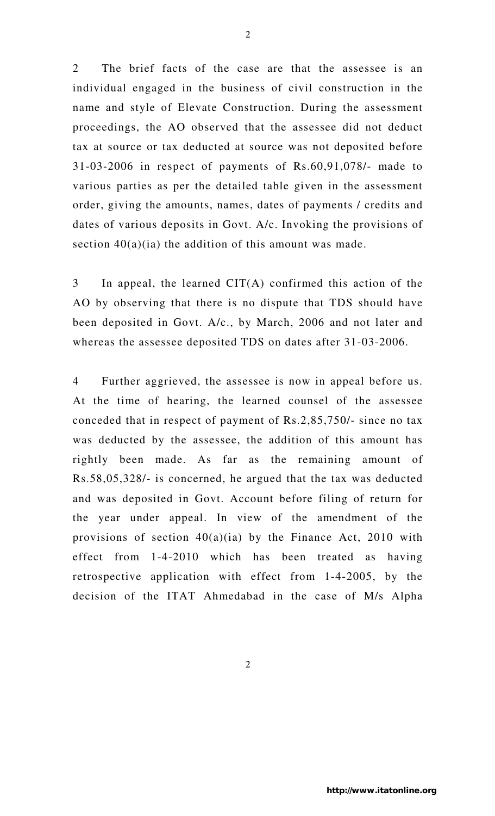2 The brief facts of the case are that the assessee is an individual engaged in the business of civil construction in the name and style of Elevate Construction. During the assessment proceedings, the AO observed that the assessee did not deduct tax at source or tax deducted at source was not deposited before 31-03-2006 in respect of payments of Rs.60,91,078/- made to various parties as per the detailed table given in the assessment order, giving the amounts, names, dates of payments / credits and dates of various deposits in Govt. A/c. Invoking the provisions of section  $40(a)(ia)$  the addition of this amount was made.

3 In appeal, the learned CIT(A) confirmed this action of the AO by observing that there is no dispute that TDS should have been deposited in Govt. A/c., by March, 2006 and not later and whereas the assessee deposited TDS on dates after 31-03-2006.

4 Further aggrieved, the assessee is now in appeal before us. At the time of hearing, the learned counsel of the assessee conceded that in respect of payment of Rs.2,85,750/- since no tax was deducted by the assessee, the addition of this amount has rightly been made. As far as the remaining amount of Rs.58,05,328/- is concerned, he argued that the tax was deducted and was deposited in Govt. Account before filing of return for the year under appeal. In view of the amendment of the provisions of section  $40(a)(ia)$  by the Finance Act, 2010 with effect from 1-4-2010 which has been treated as having retrospective application with effect from 1-4-2005, by the decision of the ITAT Ahmedabad in the case of M/s Alpha

2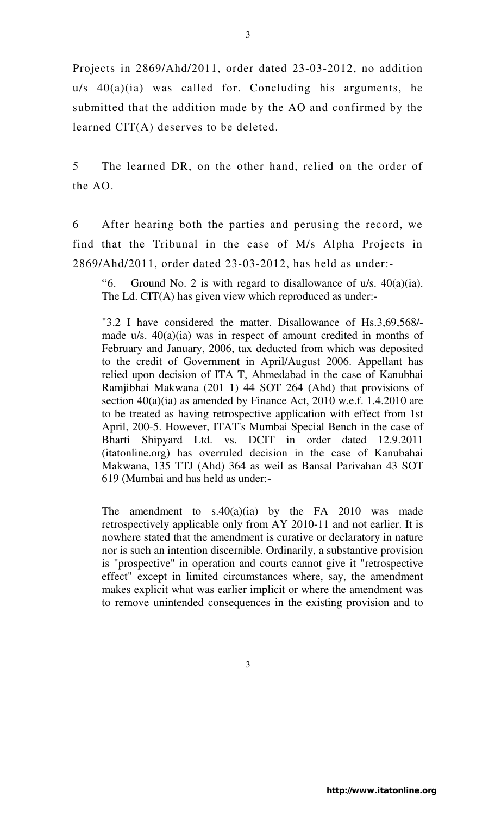Projects in 2869/Ahd/2011, order dated 23-03-2012, no addition  $u/s$  40(a)(ia) was called for. Concluding his arguments, he submitted that the addition made by the AO and confirmed by the learned CIT(A) deserves to be deleted.

5 The learned DR, on the other hand, relied on the order of the AO.

6 After hearing both the parties and perusing the record, we find that the Tribunal in the case of M/s Alpha Projects in 2869/Ahd/2011, order dated 23-03-2012, has held as under:-

"6. Ground No. 2 is with regard to disallowance of  $u/s$ .  $40(a)(ia)$ . The Ld. CIT(A) has given view which reproduced as under:-

"3.2 I have considered the matter. Disallowance of Hs.3,69,568/ made u/s. 40(a)(ia) was in respect of amount credited in months of February and January, 2006, tax deducted from which was deposited to the credit of Government in April/August 2006. Appellant has relied upon decision of ITA T, Ahmedabad in the case of Kanubhai Ramjibhai Makwana (201 1) 44 SOT 264 (Ahd) that provisions of section 40(a)(ia) as amended by Finance Act, 2010 w.e.f. 1.4.2010 are to be treated as having retrospective application with effect from 1st April, 200-5. However, ITAT's Mumbai Special Bench in the case of Bharti Shipyard Ltd. vs. DCIT in order dated 12.9.2011 (itatonline.org) has overruled decision in the case of Kanubahai Makwana, 135 TTJ (Ahd) 364 as weil as Bansal Parivahan 43 SOT 619 (Mumbai and has held as under:-

The amendment to  $s.40(a)(ia)$  by the FA 2010 was made retrospectively applicable only from AY 2010-11 and not earlier. It is nowhere stated that the amendment is curative or declaratory in nature nor is such an intention discernible. Ordinarily, a substantive provision is "prospective" in operation and courts cannot give it "retrospective effect" except in limited circumstances where, say, the amendment makes explicit what was earlier implicit or where the amendment was to remove unintended consequences in the existing provision and to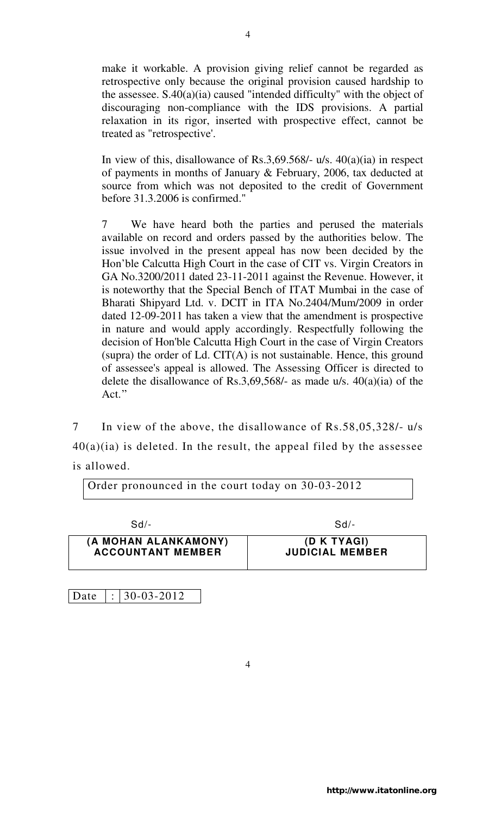make it workable. A provision giving relief cannot be regarded as retrospective only because the original provision caused hardship to the assessee. S.40(a)(ia) caused "intended difficulty" with the object of discouraging non-compliance with the IDS provisions. A partial relaxation in its rigor, inserted with prospective effect, cannot be treated as "retrospective'.

In view of this, disallowance of Rs.3,69.568/- u/s. 40(a)(ia) in respect of payments in months of January & February, 2006, tax deducted at source from which was not deposited to the credit of Government before 31.3.2006 is confirmed."

7 We have heard both the parties and perused the materials available on record and orders passed by the authorities below. The issue involved in the present appeal has now been decided by the Hon'ble Calcutta High Court in the case of CIT vs. Virgin Creators in GA No.3200/2011 dated 23-11-2011 against the Revenue. However, it is noteworthy that the Special Bench of ITAT Mumbai in the case of Bharati Shipyard Ltd. v. DCIT in ITA No.2404/Mum/2009 in order dated 12-09-2011 has taken a view that the amendment is prospective in nature and would apply accordingly. Respectfully following the decision of Hon'ble Calcutta High Court in the case of Virgin Creators  $(supra)$  the order of Ld. CIT $(A)$  is not sustainable. Hence, this ground of assessee's appeal is allowed. The Assessing Officer is directed to delete the disallowance of Rs.3,69,568/- as made u/s. 40(a)(ia) of the Act."

7 In view of the above, the disallowance of Rs.58,05,328/- u/s  $40(a)(ia)$  is deleted. In the result, the appeal filed by the assessee is allowed.

Order pronounced in the court today on 30-03-2012

| $Sd$ -                   | $Sd$ -                 |
|--------------------------|------------------------|
| (A MOHAN ALANKAMONY)     | (D K TYAGI)            |
| <b>ACCOUNTANT MEMBER</b> | <b>JUDICIAL MEMBER</b> |

4

Date  $|: | 30-03-2012$